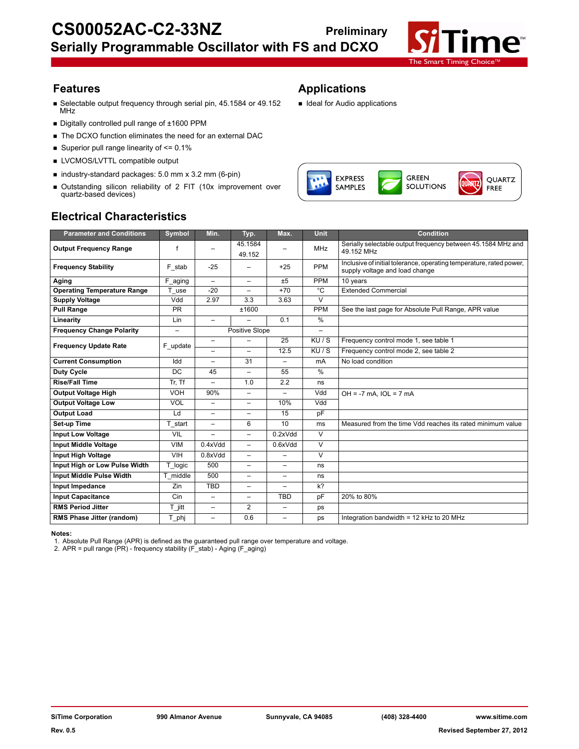

- Selectable output frequency through serial pin, 45.1584 or 49.152 MHz
- Digitally controlled pull range of ±1600 PPM
- The DCXO function eliminates the need for an external DAC
- Superior pull range linearity of  $\leq 0.1\%$
- **LVCMOS/LVTTL compatible output**
- industry-standard packages: 5.0 mm x 3.2 mm (6-pin)
- Outstanding silicon reliability of 2 FIT (10x improvement over quartz-based devices)

# **Electrical Characteristics**

# **Features Applications**

**Ideal for Audio applications** 



| <b>Parameter and Conditions</b>    | Symbol                   | Min.                     | Typ.                     | Max.                     | Unit                    | <b>Condition</b>                                                                                      |
|------------------------------------|--------------------------|--------------------------|--------------------------|--------------------------|-------------------------|-------------------------------------------------------------------------------------------------------|
| <b>Output Frequency Range</b>      |                          |                          | 45.1584<br>49.152        |                          | <b>MHz</b>              | Serially selectable output frequency between 45.1584 MHz and<br>49.152 MHz                            |
| <b>Frequency Stability</b>         | F stab                   | $-25$                    |                          | $+25$                    | PPM                     | Inclusive of initial tolerance, operating temperature, rated power,<br>supply voltage and load change |
| Aging                              | F aging                  | $\overline{\phantom{m}}$ | $\overline{\phantom{0}}$ | ±5                       | PPM                     | 10 years                                                                                              |
| <b>Operating Temperature Range</b> | T use                    | $-20$                    | $\overline{\phantom{0}}$ | $+70$                    | $\overline{c}$          | <b>Extended Commercial</b>                                                                            |
| <b>Supply Voltage</b>              | Vdd                      | 2.97                     | 3.3                      | 3.63                     | $\overline{\mathsf{v}}$ |                                                                                                       |
| <b>Pull Range</b>                  | <b>PR</b>                |                          | ±1600                    |                          | PPM                     | See the last page for Absolute Pull Range, APR value                                                  |
| Linearity                          | Lin                      | $\overline{\phantom{0}}$ | $\overline{\phantom{0}}$ | 0.1                      | %                       |                                                                                                       |
| <b>Frequency Change Polarity</b>   | $\overline{\phantom{0}}$ |                          | Positive Slope           |                          | L.                      |                                                                                                       |
| <b>Frequency Update Rate</b>       | F update                 | $\overline{\phantom{0}}$ | $\overline{\phantom{0}}$ | 25                       | KU/S                    | Frequency control mode 1, see table 1                                                                 |
|                                    |                          |                          | $\overline{\phantom{0}}$ | 12.5                     | KU/S                    | Frequency control mode 2, see table 2                                                                 |
| <b>Current Consumption</b>         | Idd                      | $\overline{a}$           | 31                       | $\overline{\phantom{0}}$ | mA                      | No load condition                                                                                     |
| <b>Duty Cycle</b>                  | <b>DC</b>                | 45                       | -                        | 55                       | %                       |                                                                                                       |
| <b>Rise/Fall Time</b>              | Tr, Tf                   | $\overline{\phantom{0}}$ | 1.0                      | 2.2                      | ns                      |                                                                                                       |
| <b>Output Voltage High</b>         | <b>VOH</b>               | 90%                      | $\overline{\phantom{0}}$ | $\overline{\phantom{0}}$ | Vdd                     | $OH = -7$ mA, $IOL = 7$ mA                                                                            |
| <b>Output Voltage Low</b>          | <b>VOL</b>               | $\overline{\phantom{0}}$ | -                        | 10%                      | Vdd                     |                                                                                                       |
| <b>Output Load</b>                 | Ld                       | $\overline{\phantom{0}}$ | -                        | 15                       | pF                      |                                                                                                       |
| Set-up Time                        | T start                  | $\overline{\phantom{0}}$ | 6                        | 10                       | ms                      | Measured from the time Vdd reaches its rated minimum value                                            |
| <b>Input Low Voltage</b>           | VIL                      | $\overline{a}$           | $\overline{\phantom{0}}$ | 0.2xVdd                  | $\overline{V}$          |                                                                                                       |
| <b>Input Middle Voltage</b>        | <b>VIM</b>               | 0.4xVdd                  | -                        | 0.6xVdd                  | $\overline{\mathsf{v}}$ |                                                                                                       |
| Input High Voltage                 | VIH                      | 0.8xVdd                  | $\overline{\phantom{0}}$ |                          | $\overline{\mathsf{v}}$ |                                                                                                       |
| Input High or Low Pulse Width      | T_logic                  | 500                      | $\overline{\phantom{0}}$ | $\overline{\phantom{0}}$ | ns                      |                                                                                                       |
| <b>Input Middle Pulse Width</b>    | T middle                 | 500                      | -                        | $\overline{\phantom{0}}$ | ns                      |                                                                                                       |
| Input Impedance                    | Zin                      | TBD                      | $\overline{\phantom{0}}$ |                          | $k$ ?                   |                                                                                                       |
| <b>Input Capacitance</b>           | Cin                      | $\overline{\phantom{m}}$ | -                        | <b>TBD</b>               | pF                      | 20% to 80%                                                                                            |
| <b>RMS Period Jitter</b>           | $T$ jitt                 | $\overline{\phantom{0}}$ | $\overline{2}$           | $\overline{\phantom{0}}$ | ps                      |                                                                                                       |
| RMS Phase Jitter (random)          | T_phj                    | $\overline{\phantom{0}}$ | 0.6                      | $\overline{\phantom{0}}$ | ps                      | Integration bandwidth = 12 kHz to 20 MHz                                                              |

**Notes:**

1. Absolute Pull Range (APR) is defined as the guaranteed pull range over temperature and voltage.

2. APR = pull range (PR) - frequency stability (F\_stab) - Aging (F\_aging)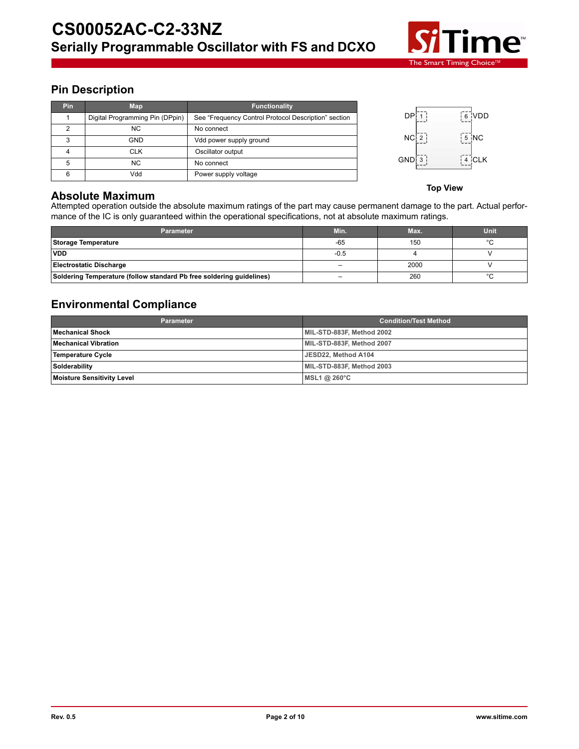

# **Pin Description**

| <b>Pin</b> | <b>Map</b>                      | <b>Functionality</b>                                 |
|------------|---------------------------------|------------------------------------------------------|
|            | Digital Programming Pin (DPpin) | See "Frequency Control Protocol Description" section |
| 2          | <b>NC</b>                       | No connect                                           |
| 3          | <b>GND</b>                      | Vdd power supply ground                              |
|            | <b>CLK</b>                      | Oscillator output                                    |
| 5          | NC.                             | No connect                                           |
| 6          | Vdd                             | Power supply voltage                                 |



**Top View**

# **Absolute Maximum**

Attempted operation outside the absolute maximum ratings of the part may cause permanent damage to the part. Actual performance of the IC is only guaranteed within the operational specifications, not at absolute maximum ratings.

| <b>Parameter</b>                                                     | Min.                     | Max. | Unit    |
|----------------------------------------------------------------------|--------------------------|------|---------|
| Storage Temperature                                                  | $-65$                    | 150  | $\circ$ |
| <b>VDD</b>                                                           | $-0.5$                   |      |         |
| <b>Electrostatic Discharge</b>                                       | $\overline{\phantom{0}}$ | 2000 |         |
| Soldering Temperature (follow standard Pb free soldering guidelines) | $\overline{\phantom{a}}$ | 260  | $\sim$  |

# **Environmental Compliance**

| <b>Parameter</b>                  | <b>Condition/Test Method</b> |  |
|-----------------------------------|------------------------------|--|
| <b>Mechanical Shock</b>           | MIL-STD-883F, Method 2002    |  |
| <b>Mechanical Vibration</b>       | MIL-STD-883F, Method 2007    |  |
| Temperature Cycle                 | JESD22, Method A104          |  |
| Solderability                     | MIL-STD-883F, Method 2003    |  |
| <b>Moisture Sensitivity Level</b> | MSL1@260°C                   |  |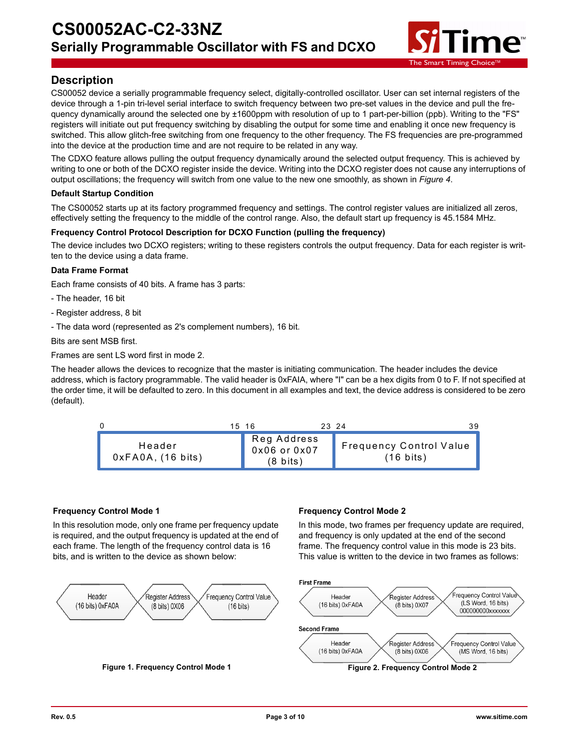

# **Description**

CS00052 device a serially programmable frequency select, digitally-controlled oscillator. User can set internal registers of the device through a 1-pin tri-level serial interface to switch frequency between two pre-set values in the device and pull the frequency dynamically around the selected one by ±1600ppm with resolution of up to 1 part-per-billion (ppb). Writing to the "FS" registers will initiate out put frequency switching by disabling the output for some time and enabling it once new frequency is switched. This allow glitch-free switching from one frequency to the other frequency. The FS frequencies are pre-programmed into the device at the production time and are not require to be related in any way.

The CDXO feature allows pulling the output frequency dynamically around the selected output frequency. This is achieved by writing to one or both of the DCXO register inside the device. Writing into the DCXO register does not cause any interruptions of output oscillations; the frequency will switch from one value to the new one smoothly, as shown in *Figure 4*.

## **Default Startup Condition**

The CS00052 starts up at its factory programmed frequency and settings. The control register values are initialized all zeros, effectively setting the frequency to the middle of the control range. Also, the default start up frequency is 45.1584 MHz.

## **Frequency Control Protocol Description for DCXO Function (pulling the frequency)**

The device includes two DCXO registers; writing to these registers controls the output frequency. Data for each register is written to the device using a data frame.

## **Data Frame Format**

Each frame consists of 40 bits. A frame has 3 parts:

- The header, 16 bit
- Register address, 8 bit
- The data word (represented as 2's complement numbers), 16 bit.

Bits are sent MSB first.

Frames are sent LS word first in mode 2.

The header allows the devices to recognize that the master is initiating communication. The header includes the device address, which is factory programmable. The valid header is 0xFAIA, where "I" can be a hex digits from 0 to F. If not specified at the order time, it will be defaulted to zero. In this document in all examples and text, the device address is considered to be zero (default).



## **Frequency Control Mode 1**

In this resolution mode, only one frame per frequency update is required, and the output frequency is updated at the end of each frame. The length of the frequency control data is 16 bits, and is written to the device as shown below:

## **Frequency Control Mode 2**

In this mode, two frames per frequency update are required, and frequency is only updated at the end of the second frame. The frequency control value in this mode is 23 bits. This value is written to the device in two frames as follows:

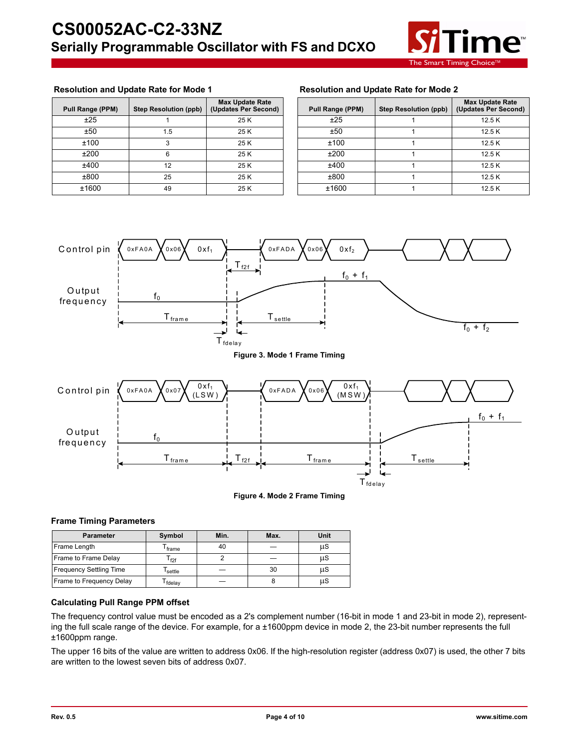

### **Resolution and Update Rate for Mode 1 Resolution and Update Rate for Mode 2**

| Pull Range (PPM) | <b>Step Resolution (ppb)</b> | <b>Max Update Rate</b><br>(Updates Per Second) | Pull Range (PPM) | <b>Step Resolution (ppb)</b> | <b>Max Update</b><br>(Updates Per |
|------------------|------------------------------|------------------------------------------------|------------------|------------------------------|-----------------------------------|
| ±25              |                              | 25 K                                           | ±25              |                              | 12.5K                             |
| ±50              | í.5                          | 25 K                                           | ±50              |                              | 12.5K                             |
| ±100             |                              | 25 K                                           | ±100             |                              | 12.5K                             |
| ±200             |                              | 25 K                                           | ±200             |                              | 12.5K                             |
| ±400             | 12                           | 25 K                                           | ±400             |                              | 12.5K                             |
| ±800             | 25                           | 25 K                                           | ±800             |                              | 12.5K                             |
| ±1600            | 49                           | 25 K                                           | ±1600            |                              | 12.5K                             |

| <b>lange (PPM)</b> | <b>Step Resolution (ppb)</b> | <b>Max Update Rate</b><br>(Updates Per Second) | Pull Range (PPM) | <b>Step Resolution (ppb)</b> | <b>Max Update Rate</b><br>(Updates Per Second) |
|--------------------|------------------------------|------------------------------------------------|------------------|------------------------------|------------------------------------------------|
| ±25                |                              | 25 K                                           | ±25              |                              | 12.5K                                          |
| ±50                | 1.5                          | 25 K                                           | ±50              |                              | 12.5K                                          |
| ±100               |                              | 25 K                                           | ±100             |                              | 12.5K                                          |
| ±200               |                              | 25 K                                           | ±200             |                              | 12.5K                                          |
| ±400               | 12                           | 25 K                                           | ±400             |                              | 12.5K                                          |
| ±800               | 25                           | 25 K                                           | ±800             |                              | 12.5K                                          |
| ±1600              | 49                           | 25 K                                           | ±1600            |                              | 12.5K                                          |



**Figure 4. Mode 2 Frame Timing**

T<sub>fdelay</sub>

#### **Frame Timing Parameters**

| <b>Parameter</b>               | Symbol          | Min. | Max. | Unit |
|--------------------------------|-----------------|------|------|------|
| Frame Length                   | frame           | 40   |      | μS   |
| Frame to Frame Delay           | F <sub>2f</sub> |      |      | μS   |
| <b>Frequency Settling Time</b> | settle          |      | 30   | μS   |
| Frame to Frequency Delay       | fdelay          |      |      | μS   |

## **Calculating Pull Range PPM offset**

The frequency control value must be encoded as a 2's complement number (16-bit in mode 1 and 23-bit in mode 2), representing the full scale range of the device. For example, for a ±1600ppm device in mode 2, the 23-bit number represents the full ±1600ppm range.

The upper 16 bits of the value are written to address 0x06. If the high-resolution register (address 0x07) is used, the other 7 bits are written to the lowest seven bits of address 0x07.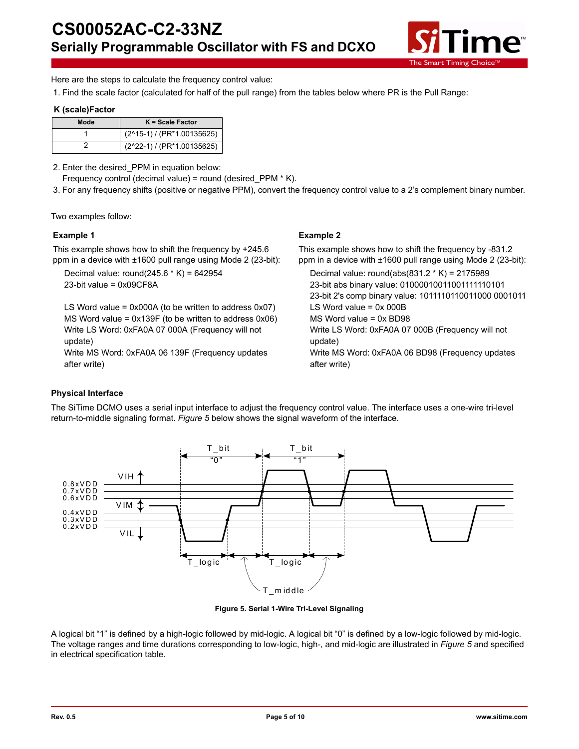

Here are the steps to calculate the frequency control value:

1. Find the scale factor (calculated for half of the pull range) from the tables below where PR is the Pull Range:

## **K (scale)Factor**

| Mode | $K = Scale Factor$         |
|------|----------------------------|
|      | (2^15-1) / (PR*1.00135625) |
|      | (2^22-1) / (PR*1.00135625) |

2. Enter the desired\_PPM in equation below:

Frequency control (decimal value) = round (desired\_PPM \* K).

3. For any frequency shifts (positive or negative PPM), convert the frequency control value to a 2's complement binary number.

Two examples follow:

### **Example 1**

This example shows how to shift the frequency by +245.6 ppm in a device with ±1600 pull range using Mode 2 (23-bit):

Decimal value: round(245.6 \* K) = 642954 23-bit value = 0x09CF8A

LS Word value = 0x000A (to be written to address 0x07) MS Word value = 0x139F (to be written to address 0x06) Write LS Word: 0xFA0A 07 000A (Frequency will not update)

Write MS Word: 0xFA0A 06 139F (Frequency updates after write)

## **Example 2**

This example shows how to shift the frequency by -831.2 ppm in a device with ±1600 pull range using Mode 2 (23-bit):

Decimal value: round(abs(831.2 \* K) = 2175989 23-bit abs binary value: 01000010011001111110101 23-bit 2's comp binary value: 1011110110011000 0001011 LS Word value  $= 0x 000B$ MS Word value = 0x BD98 Write LS Word: 0xFA0A 07 000B (Frequency will not update) Write MS Word: 0xFA0A 06 BD98 (Frequency updates after write)

## **Physical Interface**

The SiTime DCMO uses a serial input interface to adjust the frequency control value. The interface uses a one-wire tri-level return-to-middle signaling format. *Figure 5* below shows the signal waveform of the interface.



**Figure 5. Serial 1-Wire Tri-Level Signaling**

A logical bit "1" is defined by a high-logic followed by mid-logic. A logical bit "0" is defined by a low-logic followed by mid-logic. The voltage ranges and time durations corresponding to low-logic, high-, and mid-logic are illustrated in *Figure 5* and specified in electrical specification table.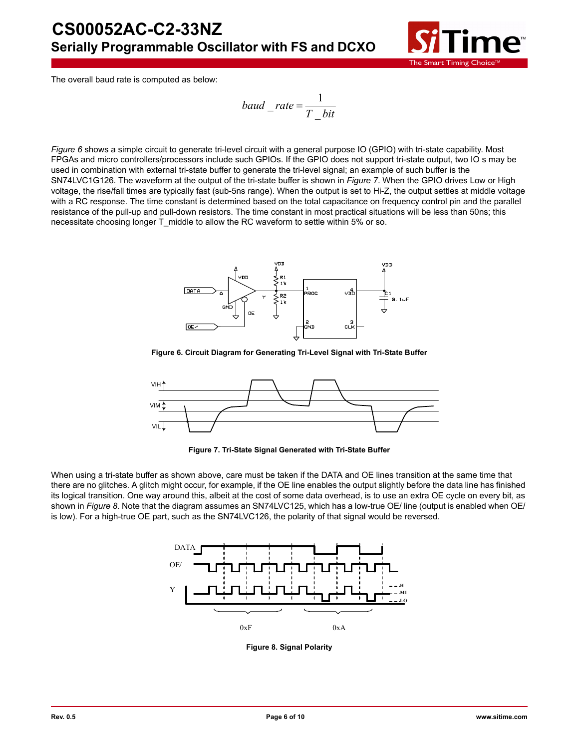

The overall baud rate is computed as below:

$$
baud\_\_rate = \frac{1}{T\_\}bit}
$$

*Figure 6* shows a simple circuit to generate tri-level circuit with a general purpose IO (GPIO) with tri-state capability. Most FPGAs and micro controllers/processors include such GPIOs. If the GPIO does not support tri-state output, two IO s may be used in combination with external tri-state buffer to generate the tri-level signal; an example of such buffer is the SN74LVC1G126. The waveform at the output of the tri-state buffer is shown in *Figure 7*. When the GPIO drives Low or High voltage, the rise/fall times are typically fast (sub-5ns range). When the output is set to Hi-Z, the output settles at middle voltage with a RC response. The time constant is determined based on the total capacitance on frequency control pin and the parallel resistance of the pull-up and pull-down resistors. The time constant in most practical situations will be less than 50ns; this necessitate choosing longer T\_middle to allow the RC waveform to settle within 5% or so.



**Figure 6. Circuit Diagram for Generating Tri-Level Signal with Tri-State Buffer**



**Figure 7. Tri-State Signal Generated with Tri-State Buffer**

When using a tri-state buffer as shown above, care must be taken if the DATA and OE lines transition at the same time that there are no glitches. A glitch might occur, for example, if the OE line enables the output slightly before the data line has finished its logical transition. One way around this, albeit at the cost of some data overhead, is to use an extra OE cycle on every bit, as shown in *Figure 8*. Note that the diagram assumes an SN74LVC125, which has a low-true OE/ line (output is enabled when OE/ is low). For a high-true OE part, such as the SN74LVC126, the polarity of that signal would be reversed.



**Figure 8. Signal Polarity**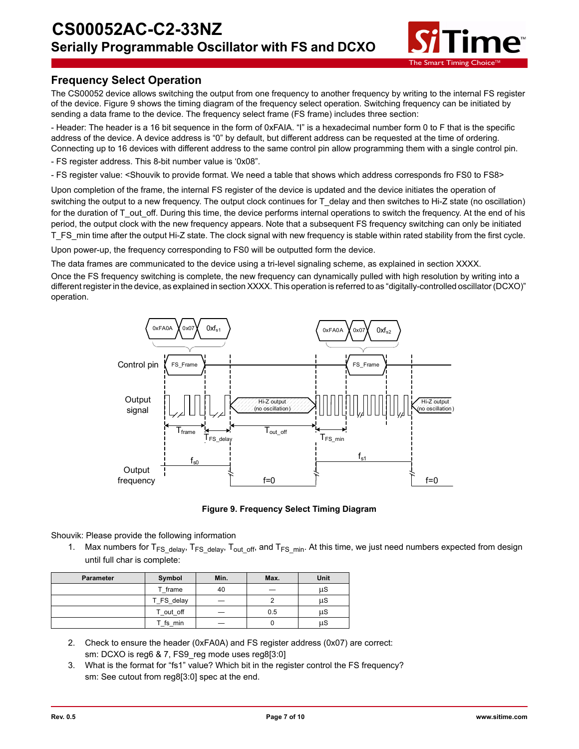

# **Frequency Select Operation**

The CS00052 device allows switching the output from one frequency to another frequency by writing to the internal FS register of the device. Figure 9 shows the timing diagram of the frequency select operation. Switching frequency can be initiated by sending a data frame to the device. The frequency select frame (FS frame) includes three section:

- Header: The header is a 16 bit sequence in the form of 0xFAIA. "I" is a hexadecimal number form 0 to F that is the specific address of the device. A device address is "0" by default, but different address can be requested at the time of ordering. Connecting up to 16 devices with different address to the same control pin allow programming them with a single control pin.

- FS register address. This 8-bit number value is '0x08".

- FS register value: <Shouvik to provide format. We need a table that shows which address corresponds fro FS0 to FS8>

Upon completion of the frame, the internal FS register of the device is updated and the device initiates the operation of switching the output to a new frequency. The output clock continues for T\_delay and then switches to Hi-Z state (no oscillation) for the duration of T\_out\_off. During this time, the device performs internal operations to switch the frequency. At the end of his period, the output clock with the new frequency appears. Note that a subsequent FS frequency switching can only be initiated T\_FS\_min time after the output Hi-Z state. The clock signal with new frequency is stable within rated stability from the first cycle.

Upon power-up, the frequency corresponding to FS0 will be outputted form the device.

The data frames are communicated to the device using a tri-level signaling scheme, as explained in section XXXX. Once the FS frequency switching is complete, the new frequency can dynamically pulled with high resolution by writing into a different register in the device, as explained in section XXXX. This operation is referred to as "digitally-controlled oscillator (DCXO)" operation.



**Figure 9. Frequency Select Timing Diagram**

Shouvik: Please provide the following information

1. Max numbers for  $T_{FS}$  delay,  $T_{FS}$  delay,  $T_{out}$  off, and  $T_{FS}$  min. At this time, we just need numbers expected from design until full char is complete:

| <b>Parameter</b> | Symbol     | Min. | Max. | Unit |
|------------------|------------|------|------|------|
|                  | T frame    | 40   |      | μS   |
|                  | T FS delay |      |      | μS   |
|                  | T out off  |      | 0.5  | μS   |
|                  | fs min     |      |      | μS   |

- 2. Check to ensure the header (0xFA0A) and FS register address (0x07) are correct: sm: DCXO is reg6 & 7, FS9 reg mode uses reg8[3:0]
- 3. What is the format for "fs1" value? Which bit in the register control the FS frequency? sm: See cutout from reg8[3:0] spec at the end.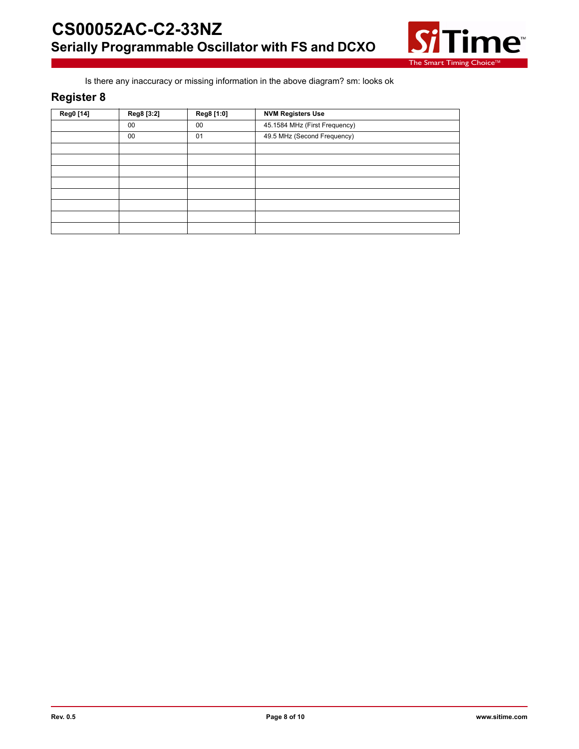

Is there any inaccuracy or missing information in the above diagram? sm: looks ok

# **Register 8**

| Reg0 [14] | Reg8 [3:2] | Reg8 [1:0] | <b>NVM Registers Use</b>      |
|-----------|------------|------------|-------------------------------|
|           | 00         | 00         | 45.1584 MHz (First Frequency) |
|           | 00         | 01         | 49.5 MHz (Second Frequency)   |
|           |            |            |                               |
|           |            |            |                               |
|           |            |            |                               |
|           |            |            |                               |
|           |            |            |                               |
|           |            |            |                               |
|           |            |            |                               |
|           |            |            |                               |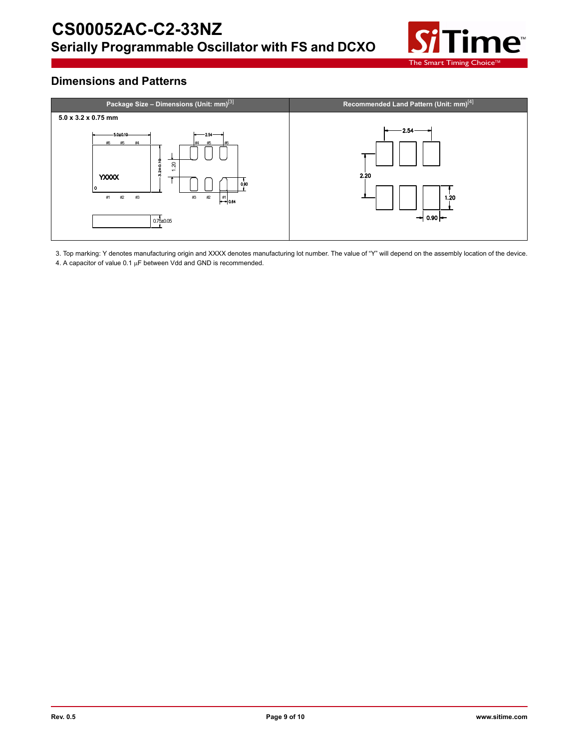

# **Dimensions and Patterns**



3. Top marking: Y denotes manufacturing origin and XXXX denotes manufacturing lot number. The value of "Y" will depend on the assembly location of the device. 4. A capacitor of value  $0.1 \mu$ F between Vdd and GND is recommended.